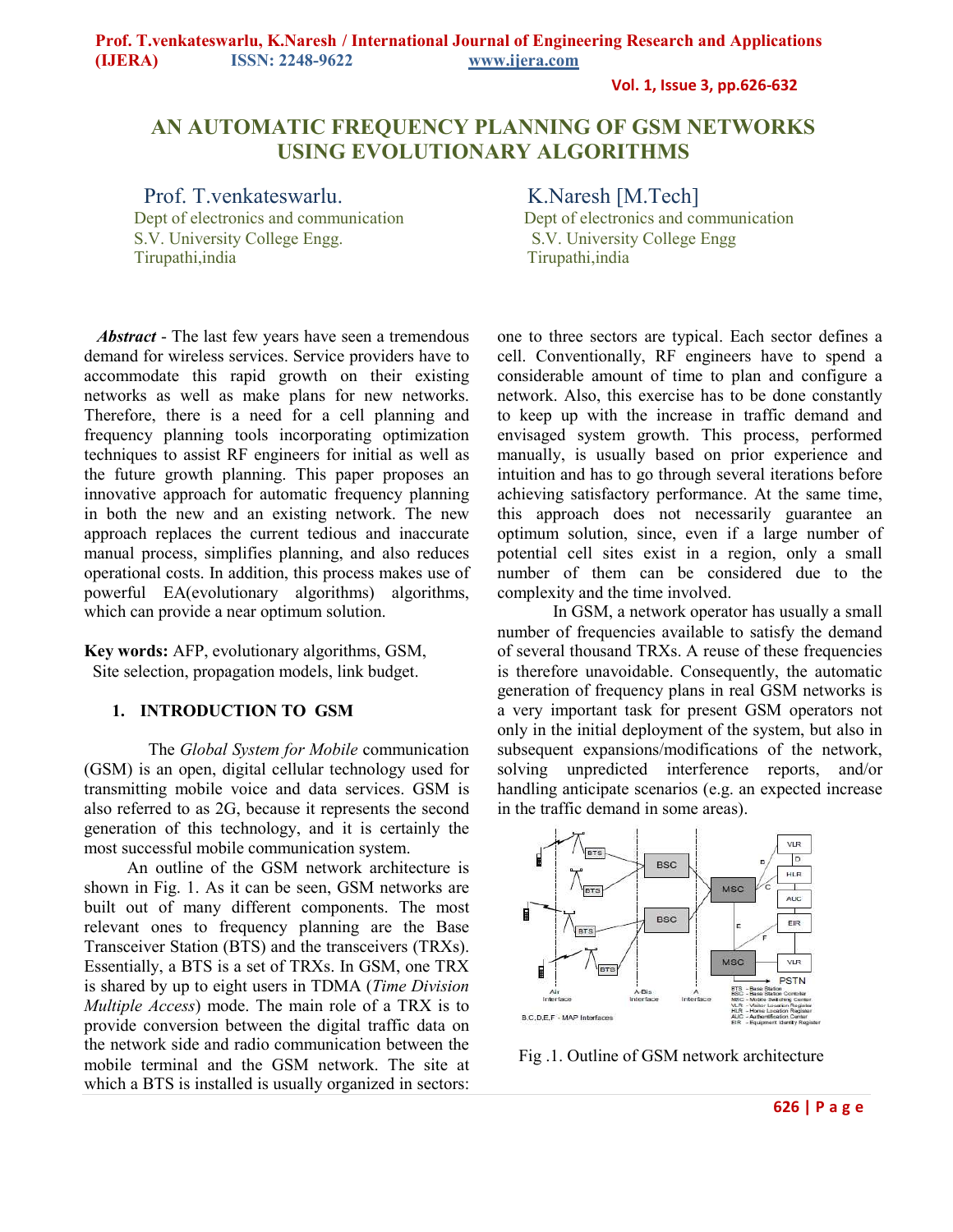**Vol. 1, Issue 3, pp.626-632**

# **AN AUTOMATIC FREQUENCY PLANNING OF GSM NETWORKS USING EVOLUTIONARY ALGORITHMS**

Prof. T.venkateswarlu. K.Naresh [M.Tech] Dept of electronics and communication Dept of electronics and communication S.V. University College Engg. S.V. University College Engg Tirupathi,india Tirupathi,india

*Abstract* - The last few years have seen a tremendous demand for wireless services. Service providers have to accommodate this rapid growth on their existing networks as well as make plans for new networks. Therefore, there is a need for a cell planning and frequency planning tools incorporating optimization techniques to assist RF engineers for initial as well as the future growth planning. This paper proposes an innovative approach for automatic frequency planning in both the new and an existing network. The new approach replaces the current tedious and inaccurate manual process, simplifies planning, and also reduces operational costs. In addition, this process makes use of powerful EA(evolutionary algorithms) algorithms, which can provide a near optimum solution.

**Key words:** AFP, evolutionary algorithms, GSM, Site selection, propagation models, link budget.

# **1. INTRODUCTION TO GSM**

 The *Global System for Mobile* communication (GSM) is an open, digital cellular technology used for transmitting mobile voice and data services. GSM is also referred to as 2G, because it represents the second generation of this technology, and it is certainly the most successful mobile communication system.

 An outline of the GSM network architecture is shown in Fig. 1. As it can be seen, GSM networks are built out of many different components. The most relevant ones to frequency planning are the Base Transceiver Station (BTS) and the transceivers (TRXs). Essentially, a BTS is a set of TRXs. In GSM, one TRX is shared by up to eight users in TDMA (*Time Division Multiple Access*) mode. The main role of a TRX is to provide conversion between the digital traffic data on the network side and radio communication between the mobile terminal and the GSM network. The site at which a BTS is installed is usually organized in sectors:

one to three sectors are typical. Each sector defines a cell. Conventionally, RF engineers have to spend a considerable amount of time to plan and configure a network. Also, this exercise has to be done constantly to keep up with the increase in traffic demand and envisaged system growth. This process, performed manually, is usually based on prior experience and intuition and has to go through several iterations before achieving satisfactory performance. At the same time, this approach does not necessarily guarantee an optimum solution, since, even if a large number of potential cell sites exist in a region, only a small number of them can be considered due to the complexity and the time involved.

 In GSM, a network operator has usually a small number of frequencies available to satisfy the demand of several thousand TRXs. A reuse of these frequencies is therefore unavoidable. Consequently, the automatic generation of frequency plans in real GSM networks is a very important task for present GSM operators not only in the initial deployment of the system, but also in subsequent expansions/modifications of the network, solving unpredicted interference reports, and/or handling anticipate scenarios (e.g. an expected increase in the traffic demand in some areas).



Fig .1. Outline of GSM network architecture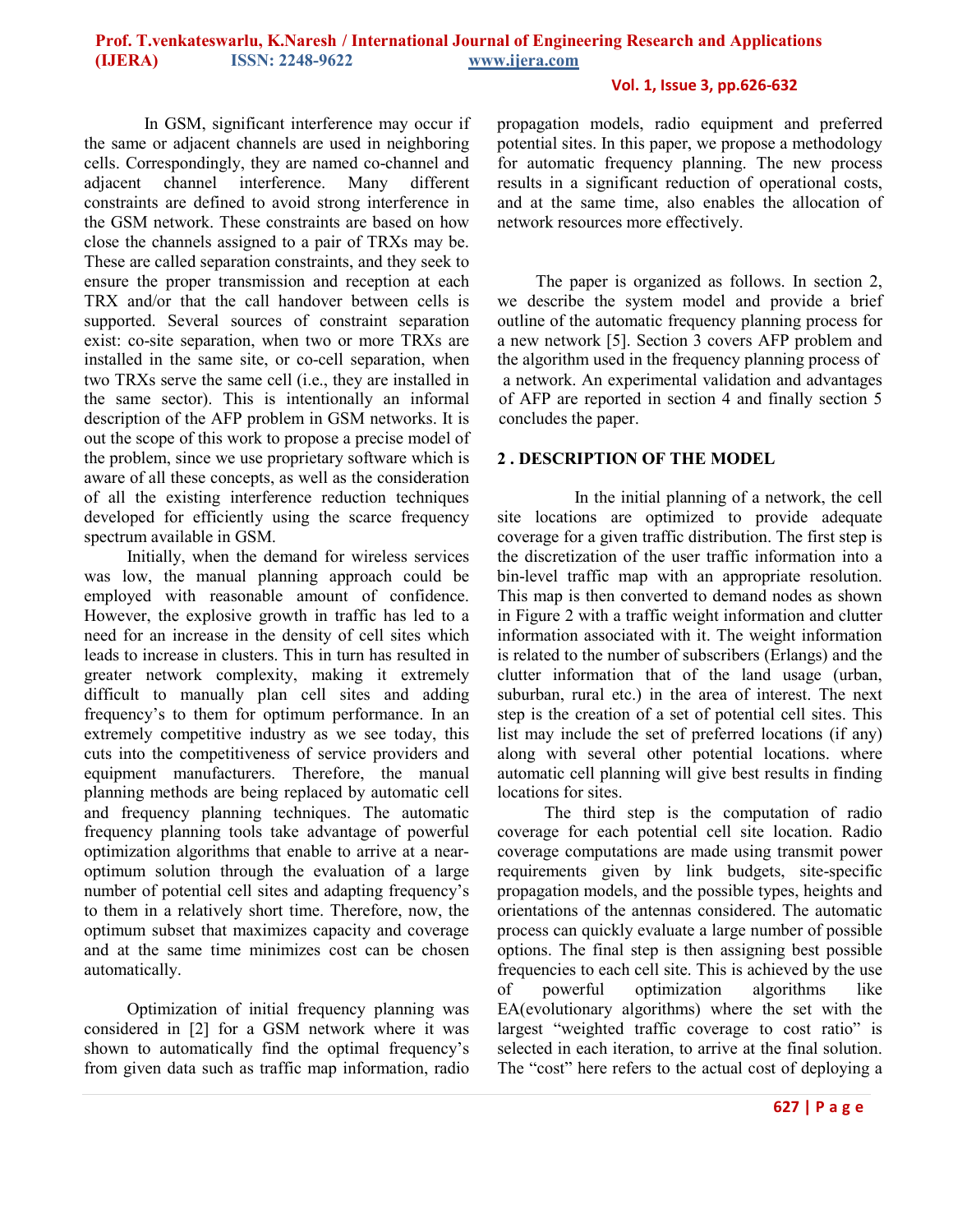### **Vol. 1, Issue 3, pp.626-632**

 In GSM, significant interference may occur if the same or adjacent channels are used in neighboring cells. Correspondingly, they are named co-channel and adjacent channel interference. Many different constraints are defined to avoid strong interference in the GSM network. These constraints are based on how close the channels assigned to a pair of TRXs may be. These are called separation constraints, and they seek to ensure the proper transmission and reception at each TRX and/or that the call handover between cells is supported. Several sources of constraint separation exist: co-site separation, when two or more TRXs are installed in the same site, or co-cell separation, when two TRXs serve the same cell (i.e., they are installed in the same sector). This is intentionally an informal description of the AFP problem in GSM networks. It is out the scope of this work to propose a precise model of the problem, since we use proprietary software which is aware of all these concepts, as well as the consideration of all the existing interference reduction techniques developed for efficiently using the scarce frequency spectrum available in GSM.

 Initially, when the demand for wireless services was low, the manual planning approach could be employed with reasonable amount of confidence. However, the explosive growth in traffic has led to a need for an increase in the density of cell sites which leads to increase in clusters. This in turn has resulted in greater network complexity, making it extremely difficult to manually plan cell sites and adding frequency's to them for optimum performance. In an extremely competitive industry as we see today, this cuts into the competitiveness of service providers and equipment manufacturers. Therefore, the manual planning methods are being replaced by automatic cell and frequency planning techniques. The automatic frequency planning tools take advantage of powerful optimization algorithms that enable to arrive at a nearoptimum solution through the evaluation of a large number of potential cell sites and adapting frequency's to them in a relatively short time. Therefore, now, the optimum subset that maximizes capacity and coverage and at the same time minimizes cost can be chosen automatically.

 Optimization of initial frequency planning was considered in [2] for a GSM network where it was shown to automatically find the optimal frequency's from given data such as traffic map information, radio

propagation models, radio equipment and preferred potential sites. In this paper, we propose a methodology for automatic frequency planning. The new process results in a significant reduction of operational costs, and at the same time, also enables the allocation of network resources more effectively.

 The paper is organized as follows. In section 2, we describe the system model and provide a brief outline of the automatic frequency planning process for a new network [5]. Section 3 covers AFP problem and the algorithm used in the frequency planning process of a network. An experimental validation and advantages of AFP are reported in section 4 and finally section 5 concludes the paper.

### **2 . DESCRIPTION OF THE MODEL**

 In the initial planning of a network, the cell site locations are optimized to provide adequate coverage for a given traffic distribution. The first step is the discretization of the user traffic information into a bin-level traffic map with an appropriate resolution. This map is then converted to demand nodes as shown in Figure 2 with a traffic weight information and clutter information associated with it. The weight information is related to the number of subscribers (Erlangs) and the clutter information that of the land usage (urban, suburban, rural etc.) in the area of interest. The next step is the creation of a set of potential cell sites. This list may include the set of preferred locations (if any) along with several other potential locations. where automatic cell planning will give best results in finding locations for sites.

 The third step is the computation of radio coverage for each potential cell site location. Radio coverage computations are made using transmit power requirements given by link budgets, site-specific propagation models, and the possible types, heights and orientations of the antennas considered. The automatic process can quickly evaluate a large number of possible options. The final step is then assigning best possible frequencies to each cell site. This is achieved by the use of powerful optimization algorithms like EA(evolutionary algorithms) where the set with the largest "weighted traffic coverage to cost ratio" is selected in each iteration, to arrive at the final solution. The "cost" here refers to the actual cost of deploying a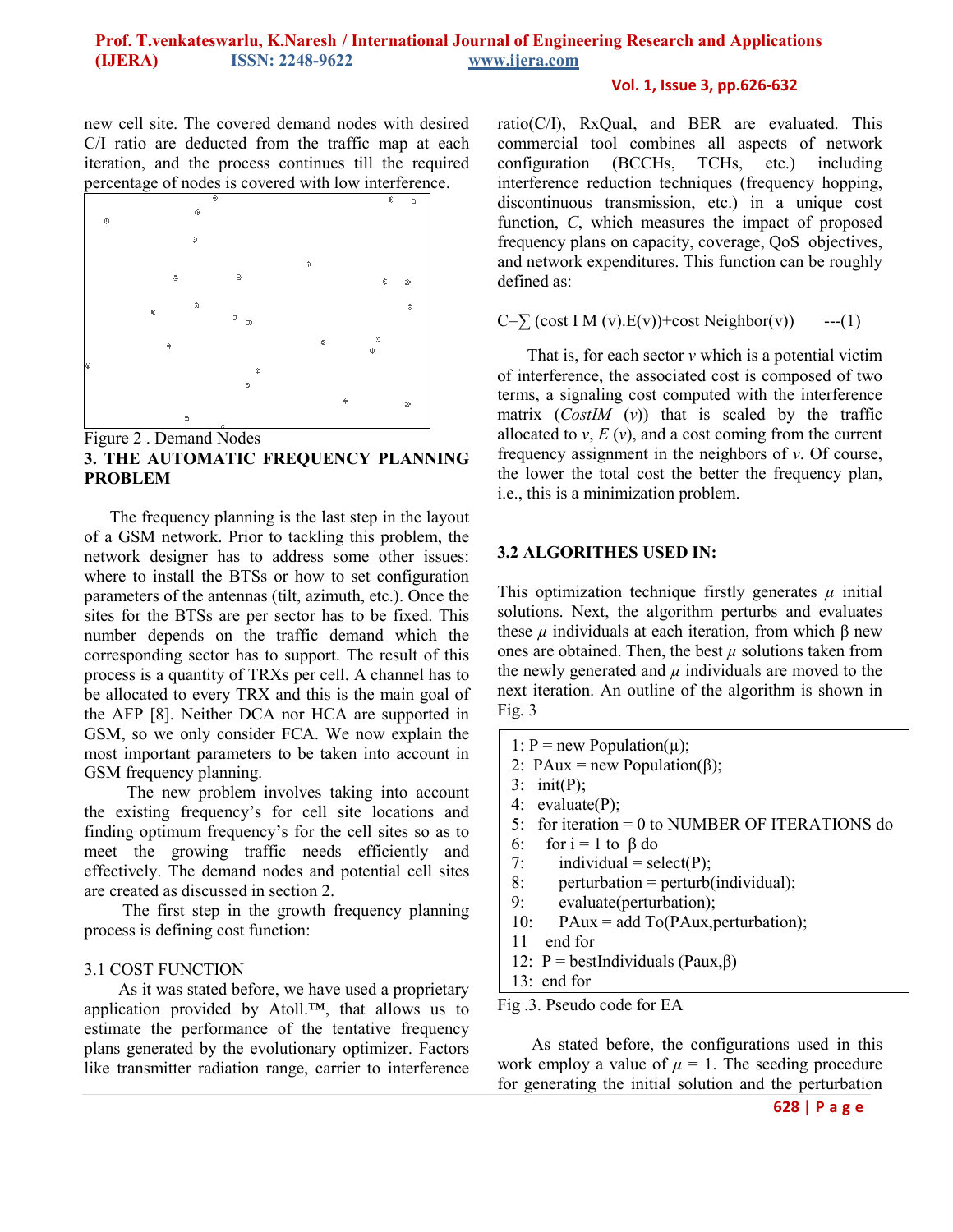#### **Vol. 1, Issue 3, pp.626-632**

new cell site. The covered demand nodes with desired C/I ratio are deducted from the traffic map at each iteration, and the process continues till the required percentage of nodes is covered with low interference.



Figure 2 . Demand Nodes **3. THE AUTOMATIC FREQUENCY PLANNING PROBLEM** 

 The frequency planning is the last step in the layout of a GSM network. Prior to tackling this problem, the network designer has to address some other issues: where to install the BTSs or how to set configuration parameters of the antennas (tilt, azimuth, etc.). Once the sites for the BTSs are per sector has to be fixed. This number depends on the traffic demand which the corresponding sector has to support. The result of this process is a quantity of TRXs per cell. A channel has to be allocated to every TRX and this is the main goal of the AFP [8]. Neither DCA nor HCA are supported in GSM, so we only consider FCA. We now explain the most important parameters to be taken into account in GSM frequency planning.

 The new problem involves taking into account the existing frequency's for cell site locations and finding optimum frequency's for the cell sites so as to meet the growing traffic needs efficiently and effectively. The demand nodes and potential cell sites are created as discussed in section 2.

 The first step in the growth frequency planning process is defining cost function:

### 3.1 COST FUNCTION

 As it was stated before, we have used a proprietary application provided by Atoll.™, that allows us to estimate the performance of the tentative frequency plans generated by the evolutionary optimizer. Factors like transmitter radiation range, carrier to interference

 $ratio(C/I)$ , RxQual, and BER are evaluated. This commercial tool combines all aspects of network configuration (BCCHs, TCHs, etc.) including interference reduction techniques (frequency hopping, discontinuous transmission, etc.) in a unique cost function, *C*, which measures the impact of proposed frequency plans on capacity, coverage, QoS objectives, and network expenditures. This function can be roughly defined as:

 $C=\sum$  (cost I M (v).  $E(v)$ )+cost Neighbor(v)) ---(1)

That is, for each sector  $\nu$  which is a potential victim of interference, the associated cost is composed of two terms, a signaling cost computed with the interference matrix (*CostIM* (*v*)) that is scaled by the traffic allocated to  $v$ ,  $E(v)$ , and a cost coming from the current frequency assignment in the neighbors of *v*. Of course, the lower the total cost the better the frequency plan, i.e., this is a minimization problem.

# **3.2 ALGORITHES USED IN:**

This optimization technique firstly generates  $\mu$  initial solutions. Next, the algorithm perturbs and evaluates these *µ* individuals at each iteration, from which β new ones are obtained. Then, the best  $\mu$  solutions taken from the newly generated and  $\mu$  individuals are moved to the next iteration. An outline of the algorithm is shown in Fig.  $3$ 

- 1:  $P = new Population(\mu)$ ;
- 2:  $PAux = new Population( $\beta$ ):$
- 3: init(P);
- 4: evaluate(P);
- 5: for iteration = 0 to NUMBER OF ITERATIONS do
- 6: for  $i = 1$  to  $\beta$  do
	- 7: individual =  $select(P)$ ;
	- 8: perturbation = perturb(individual);
	- 9: evaluate(perturbation);
	- 10: PAux = add To(PAux,perturbation);
- 11 end for
- 12:  $P = bestIndividuals (Paux, β)$

13: end for

Fig .3. Pseudo code for EA

 As stated before, the configurations used in this work employ a value of  $\mu = 1$ . The seeding procedure for generating the initial solution and the perturbation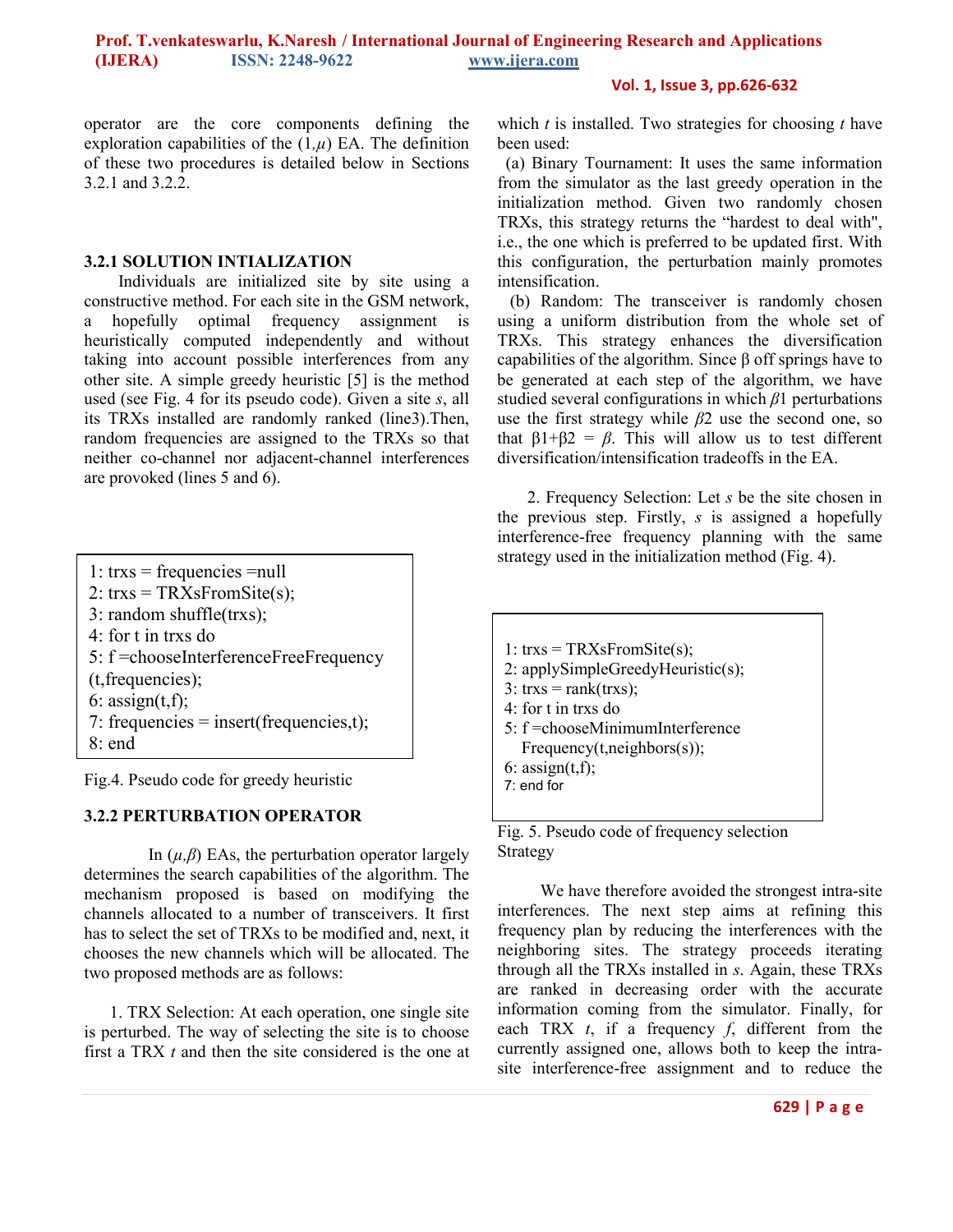#### **Vol. 1, Issue 3, pp.626-632**

operator are the core components defining the exploration capabilities of the  $(1,\mu)$  EA. The definition of these two procedures is detailed below in Sections 3.2.1 and 3.2.2.

#### **3.2.1 SOLUTION INTIALIZATION**

 Individuals are initialized site by site using a constructive method. For each site in the GSM network, a hopefully optimal frequency assignment is heuristically computed independently and without taking into account possible interferences from any other site. A simple greedy heuristic [5] is the method used (see Fig. 4 for its pseudo code). Given a site *s*, all its TRXs installed are randomly ranked (line3).Then, random frequencies are assigned to the TRXs so that neither co-channel nor adjacent-channel interferences are provoked (lines 5 and 6).

- 1:  $\text{trxs} = \text{frequencies} = \text{null}$
- 2:  $\text{trxs} = \text{TRXsFromSite(s)}$ ;
- 3: random shuffle(trxs);
- 4: for t in trxs do
- 5: f =chooseInterferenceFreeFrequency
- (t,frequencies);
- 6:  $\text{assign}(t, f)$ ;
- 7: frequencies  $=$  insert(frequencies,t);
- 8: end

Fig.4. Pseudo code for greedy heuristic

# **3.2.2 PERTURBATION OPERATOR**

In  $(\mu, \beta)$  EAs, the perturbation operator largely determines the search capabilities of the algorithm. The mechanism proposed is based on modifying the channels allocated to a number of transceivers. It first has to select the set of TRXs to be modified and, next, it chooses the new channels which will be allocated. The two proposed methods are as follows:

 1. TRX Selection: At each operation, one single site is perturbed. The way of selecting the site is to choose first a TRX *t* and then the site considered is the one at

which *t* is installed. Two strategies for choosing *t* have been used:

 (a) Binary Tournament: It uses the same information from the simulator as the last greedy operation in the initialization method. Given two randomly chosen TRXs, this strategy returns the "hardest to deal with", i.e., the one which is preferred to be updated first. With this configuration, the perturbation mainly promotes intensification.

 (b) Random: The transceiver is randomly chosen using a uniform distribution from the whole set of TRXs. This strategy enhances the diversification capabilities of the algorithm. Since β off springs have to be generated at each step of the algorithm, we have studied several configurations in which *β*1 perturbations use the first strategy while *β*2 use the second one, so that  $\beta$ 1+ $\beta$ 2 = *β*. This will allow us to test different diversification/intensification tradeoffs in the EA.

 2. Frequency Selection: Let *s* be the site chosen in the previous step. Firstly, *s* is assigned a hopefully interference-free frequency planning with the same strategy used in the initialization method (Fig. 4).

1:  $\text{trxs} = \text{TRXsFromSite(s)}$ ; 2: applySimpleGreedyHeuristic(s);  $3:$  trxs = rank(trxs); 4: for t in trxs do 5: f =chooseMinimumInterference Frequency(t,neighbors(s)); 6: assign $(t, f)$ ; 7: end for



 We have therefore avoided the strongest intra-site interferences. The next step aims at refining this frequency plan by reducing the interferences with the neighboring sites. The strategy proceeds iterating through all the TRXs installed in *s*. Again, these TRXs are ranked in decreasing order with the accurate information coming from the simulator. Finally, for each TRX *t*, if a frequency *f*, different from the currently assigned one, allows both to keep the intrasite interference-free assignment and to reduce the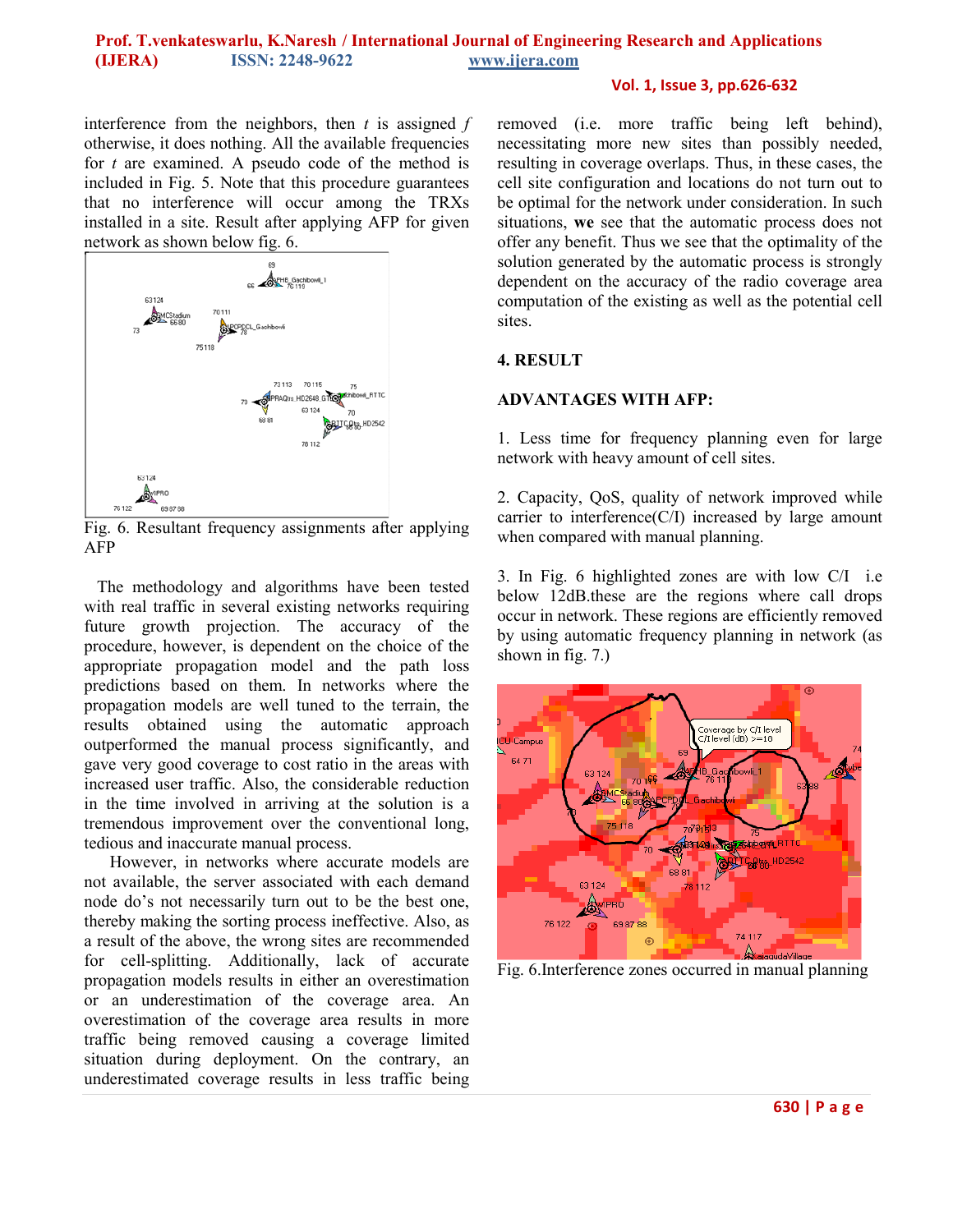#### **Vol. 1, Issue 3, pp.626-632**

interference from the neighbors, then *t* is assigned *f* otherwise, it does nothing. All the available frequencies for *t* are examined. A pseudo code of the method is included in Fig. 5. Note that this procedure guarantees that no interference will occur among the TRXs installed in a site. Result after applying AFP for given network as shown below fig. 6.



Fig. 6. Resultant frequency assignments after applying AFP

 The methodology and algorithms have been tested with real traffic in several existing networks requiring future growth projection. The accuracy of the procedure, however, is dependent on the choice of the appropriate propagation model and the path loss predictions based on them. In networks where the propagation models are well tuned to the terrain, the results obtained using the automatic approach outperformed the manual process significantly, and gave very good coverage to cost ratio in the areas with increased user traffic. Also, the considerable reduction in the time involved in arriving at the solution is a tremendous improvement over the conventional long, tedious and inaccurate manual process.

 However, in networks where accurate models are not available, the server associated with each demand node do's not necessarily turn out to be the best one, thereby making the sorting process ineffective. Also, as a result of the above, the wrong sites are recommended for cell-splitting. Additionally, lack of accurate propagation models results in either an overestimation or an underestimation of the coverage area. An overestimation of the coverage area results in more traffic being removed causing a coverage limited situation during deployment. On the contrary, an underestimated coverage results in less traffic being removed (i.e. more traffic being left behind), necessitating more new sites than possibly needed, resulting in coverage overlaps. Thus, in these cases, the cell site configuration and locations do not turn out to be optimal for the network under consideration. In such situations, **we** see that the automatic process does not offer any benefit. Thus we see that the optimality of the solution generated by the automatic process is strongly dependent on the accuracy of the radio coverage area computation of the existing as well as the potential cell sites.

# **4. RESULT**

#### **ADVANTAGES WITH AFP:**

1. Less time for frequency planning even for large network with heavy amount of cell sites.

2. Capacity, QoS, quality of network improved while carrier to interference $(C/I)$  increased by large amount when compared with manual planning.

3. In Fig. 6 highlighted zones are with low C/I i.e below 12dB.these are the regions where call drops occur in network. These regions are efficiently removed by using automatic frequency planning in network (as shown in fig. 7.)



Fig. 6.Interference zones occurred in manual planning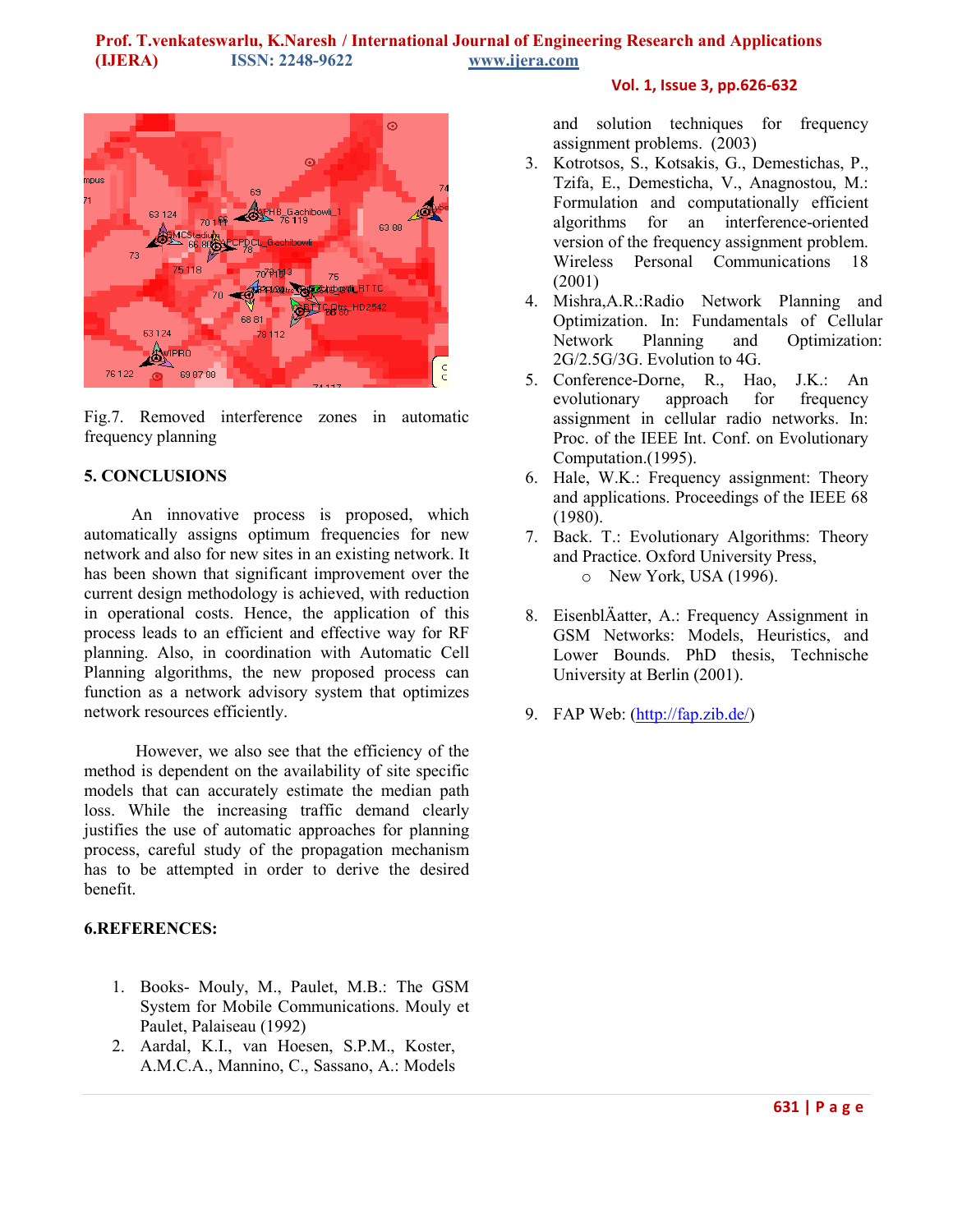

Fig.7. Removed interference zones in automatic frequency planning

# **5. CONCLUSIONS**

 An innovative process is proposed, which automatically assigns optimum frequencies for new network and also for new sites in an existing network. It has been shown that significant improvement over the current design methodology is achieved, with reduction in operational costs. Hence, the application of this process leads to an efficient and effective way for RF planning. Also, in coordination with Automatic Cell Planning algorithms, the new proposed process can function as a network advisory system that optimizes network resources efficiently.

 However, we also see that the efficiency of the method is dependent on the availability of site specific models that can accurately estimate the median path loss. While the increasing traffic demand clearly justifies the use of automatic approaches for planning process, careful study of the propagation mechanism has to be attempted in order to derive the desired benefit.

# **6.REFERENCES:**

- 1. Books- Mouly, M., Paulet, M.B.: The GSM System for Mobile Communications. Mouly et Paulet, Palaiseau (1992)
- 2. Aardal, K.I., van Hoesen, S.P.M., Koster, A.M.C.A., Mannino, C., Sassano, A.: Models

**Vol. 1, Issue 3, pp.626-632**

and solution techniques for frequency assignment problems. (2003)

- 3. Kotrotsos, S., Kotsakis, G., Demestichas, P., Tzifa, E., Demesticha, V., Anagnostou, M.: Formulation and computationally efficient algorithms for an interference-oriented version of the frequency assignment problem. Wireless Personal Communications 18 (2001)
- 4. Mishra,A.R.:Radio Network Planning and Optimization. In: Fundamentals of Cellular Network Planning and Optimization: 2G/2.5G/3G. Evolution to 4G.
- 5. Conference-Dorne, R., Hao, J.K.: An evolutionary approach for frequency assignment in cellular radio networks. In: Proc. of the IEEE Int. Conf. on Evolutionary Computation.(1995).
- 6. Hale, W.K.: Frequency assignment: Theory and applications. Proceedings of the IEEE 68 (1980).
- 7. Back. T.: Evolutionary Algorithms: Theory and Practice. Oxford University Press, o New York, USA (1996).
- 8. EisenblÄatter, A.: Frequency Assignment in GSM Networks: Models, Heuristics, and Lower Bounds. PhD thesis, Technische University at Berlin (2001).
- 9. FAP Web: ([http://fap.zib.de/\)](http://fap.zib.de/)